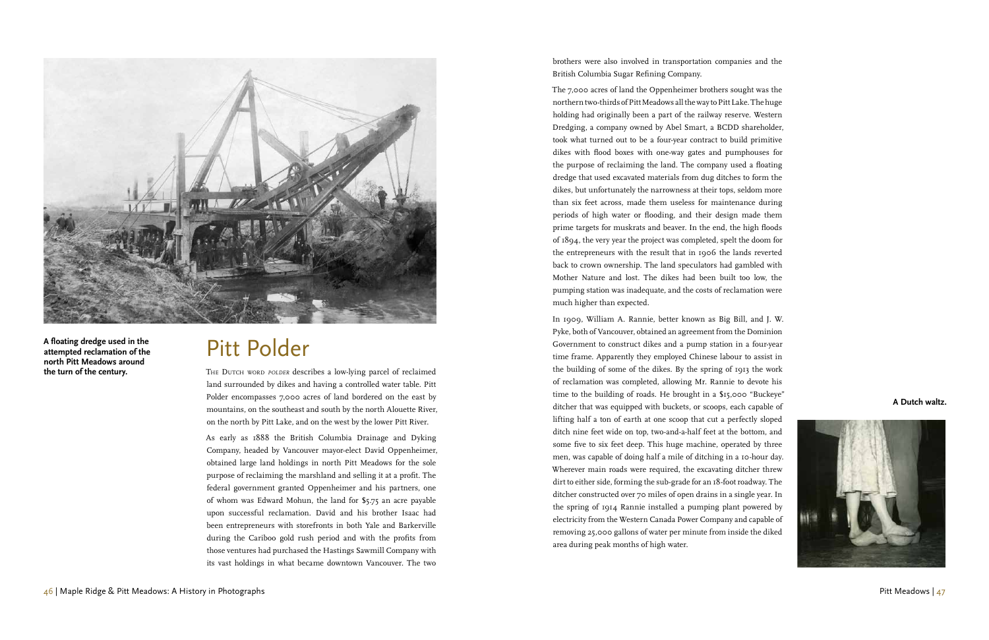brothers were also involved in transportation companies and the British Columbia Sugar Refining Company.

The 7,000 acres of land the Oppenheimer brothers sought was the northern two-thirds of Pitt Meadows all the way to Pitt Lake. The huge holding had originally been a part of the railway reserve. Western Dredging, a company owned by Abel Smart, a BCDD shareholder, took what turned out to be a four-year contract to build primitive dikes with flood boxes with one-way gates and pumphouses for the purpose of reclaiming the land. The company used a floating dredge that used excavated materials from dug ditches to form the dikes, but unfortunately the narrowness at their tops, seldom more than six feet across, made them useless for maintenance during periods of high water or flooding, and their design made them prime targets for muskrats and beaver. In the end, the high floods of 1894, the very year the project was completed, spelt the doom for the entrepreneurs with the result that in 1906 the lands reverted back to crown ownership. The land speculators had gambled with Mother Nature and lost. The dikes had been built too low, the pumping station was inadequate, and the costs of reclamation were much higher than expected.

THE DUTCH WORD POLDER describes a low-lying parcel of reclaimed land surrounded by dikes and having a controlled water table. Pitt Polder encompasses 7,000 acres of land bordered on the east by mountains, on the southeast and south by the north Alouette River, on the north by Pitt Lake, and on the west by the lower Pitt River.

In 1909, William A. Rannie, better known as Big Bill, and J. W. Pyke, both of Vancouver, obtained an agreement from the Dominion Government to construct dikes and a pump station in a four-year time frame. Apparently they employed Chinese labour to assist in the building of some of the dikes. By the spring of 1913 the work of reclamation was completed, allowing Mr. Rannie to devote his time to the building of roads. He brought in a \$15,000 "Buckeye" ditcher that was equipped with buckets, or scoops, each capable of lifting half a ton of earth at one scoop that cut a perfectly sloped ditch nine feet wide on top, two-and-a-half feet at the bottom, and some five to six feet deep. This huge machine, operated by three men, was capable of doing half a mile of ditching in a 10-hour day. Wherever main roads were required, the excavating ditcher threw dirt to either side, forming the sub-grade for an 18-foot roadway. The ditcher constructed over 70 miles of open drains in a single year. In the spring of 1914 Rannie installed a pumping plant powered by electricity from the Western Canada Power Company and capable of removing 25,000 gallons of water per minute from inside the diked area during peak months of high water.

**A Dutch waltz.**



## Pitt Polder

As early as 1888 the British Columbia Drainage and Dyking Company, headed by Vancouver mayor-elect David Oppenheimer, obtained large land holdings in north Pitt Meadows for the sole purpose of reclaiming the marshland and selling it at a profit. The federal government granted Oppenheimer and his partners, one of whom was Edward Mohun, the land for \$5.75 an acre payable upon successful reclamation. David and his brother Isaac had been entrepreneurs with storefronts in both Yale and Barkerville during the Cariboo gold rush period and with the profits from those ventures had purchased the Hastings Sawmill Company with its vast holdings in what became downtown Vancouver. The two



**A floating dredge used in the attempted reclamation of the north Pitt Meadows around the turn of the century.**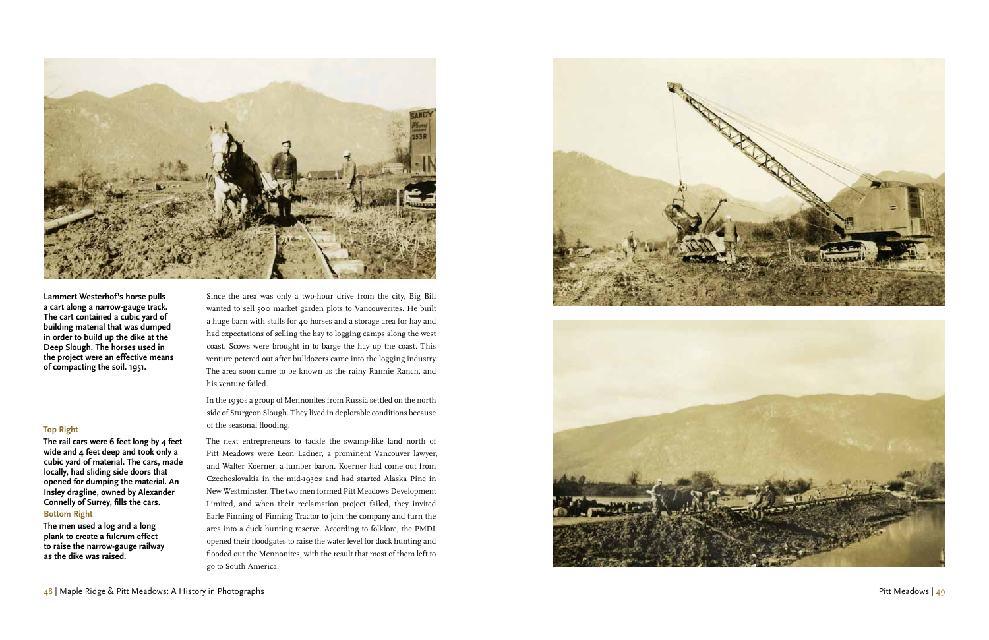Since the area was only a two-hour drive from the city, Big Bill wanted to sell 500 market garden plots to Vancouverites. He built a huge barn with stalls for 40 horses and a storage area for hay and had expectations of selling the hay to logging camps along the west coast. Scows were brought in to barge the hay up the coast. This venture petered out after bulldozers came into the logging industry. The area soon came to be known as the rainy Rannie Ranch, and his venture failed.

In the 1930s a group of Mennonites from Russia settled on the north side of Sturgeon Slough. They lived in deplorable conditions because of the seasonal flooding.

The next entrepreneurs to tackle the swamp-like land north of Pitt Meadows were Leon Ladner, a prominent Vancouver lawyer, and Walter Koerner, a lumber baron. Koerner had come out from Czechoslovakia in the mid-1930s and had started Alaska Pine in New Westminster. The two men formed Pitt Meadows Development Limited, and when their reclamation project failed, they invited Earle Finning of Finning Tractor to join the company and turn the area into a duck hunting reserve. According to folklore, the PMDL opened their floodgates to raise the water level for duck hunting and flooded out the Mennonites, with the result that most of them left to go to South America.



### **Top Right**

**The rail cars were 6 feet long by 4 feet wide and 4 feet deep and took only a cubic yard of material. The cars, made locally, had sliding side doors that opened for dumping the material. An Insley dragline, owned by Alexander Connelly of Surrey, fills the cars.**

#### **Bottom Right**

**The men used a log and a long plank to create a fulcrum effect to raise the narrow-gauge railway as the dike was raised.**



**Lammert Westerhof's horse pulls a cart along a narrow-gauge track. The cart contained a cubic yard of building material that was dumped in order to build up the dike at the Deep Slough. The horses used in the project were an effective means of compacting the soil. 1951.**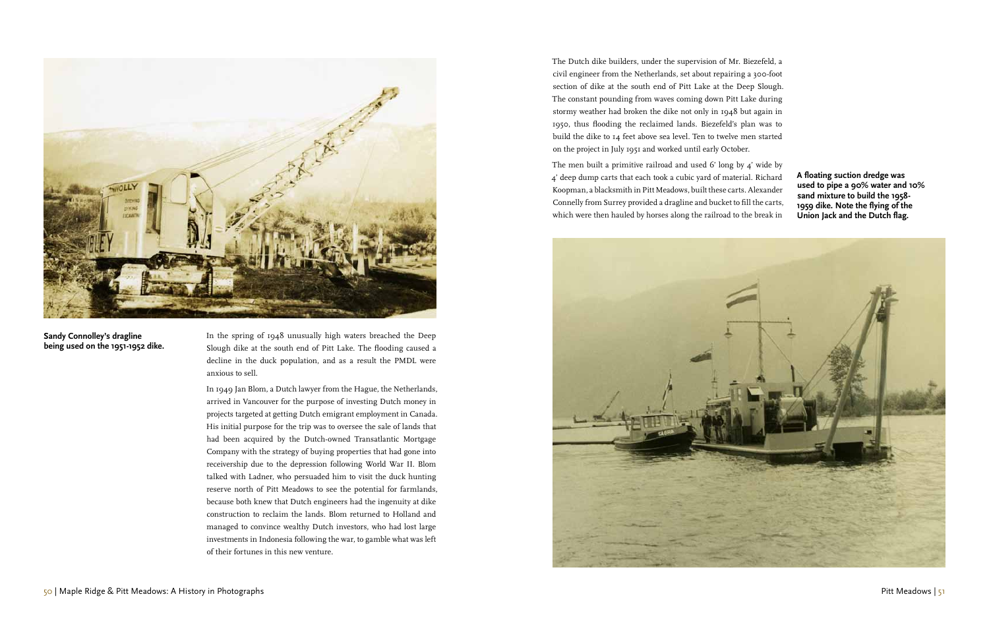The Dutch dike builders, under the supervision of Mr. Biezefeld, a civil engineer from the Netherlands, set about repairing a 300-foot section of dike at the south end of Pitt Lake at the Deep Slough. The constant pounding from waves coming down Pitt Lake during stormy weather had broken the dike not only in 1948 but again in 1950, thus flooding the reclaimed lands. Biezefeld's plan was to build the dike to 14 feet above sea level. Ten to twelve men started on the project in July 1951 and worked until early October.

The men built a primitive railroad and used 6' long by 4' wide by 4' deep dump carts that each took a cubic yard of material. Richard Koopman, a blacksmith in Pitt Meadows, built these carts. Alexander Connelly from Surrey provided a dragline and bucket to fill the carts, which were then hauled by horses along the railroad to the break in



**A floating suction dredge was used to pipe a 90% water and 10% sand mixture to build the 1958- 1959 dike. Note the flying of the Union Jack and the Dutch flag.**

In the spring of 1948 unusually high waters breached the Deep Slough dike at the south end of Pitt Lake. The flooding caused a decline in the duck population, and as a result the PMDL were anxious to sell.

In 1949 Jan Blom, a Dutch lawyer from the Hague, the Netherlands, arrived in Vancouver for the purpose of investing Dutch money in projects targeted at getting Dutch emigrant employment in Canada. His initial purpose for the trip was to oversee the sale of lands that had been acquired by the Dutch-owned Transatlantic Mortgage Company with the strategy of buying properties that had gone into receivership due to the depression following World War II. Blom talked with Ladner, who persuaded him to visit the duck hunting reserve north of Pitt Meadows to see the potential for farmlands, because both knew that Dutch engineers had the ingenuity at dike construction to reclaim the lands. Blom returned to Holland and managed to convince wealthy Dutch investors, who had lost large investments in Indonesia following the war, to gamble what was left of their fortunes in this new venture.



**Sandy Connolley's dragline being used on the 1951-1952 dike.**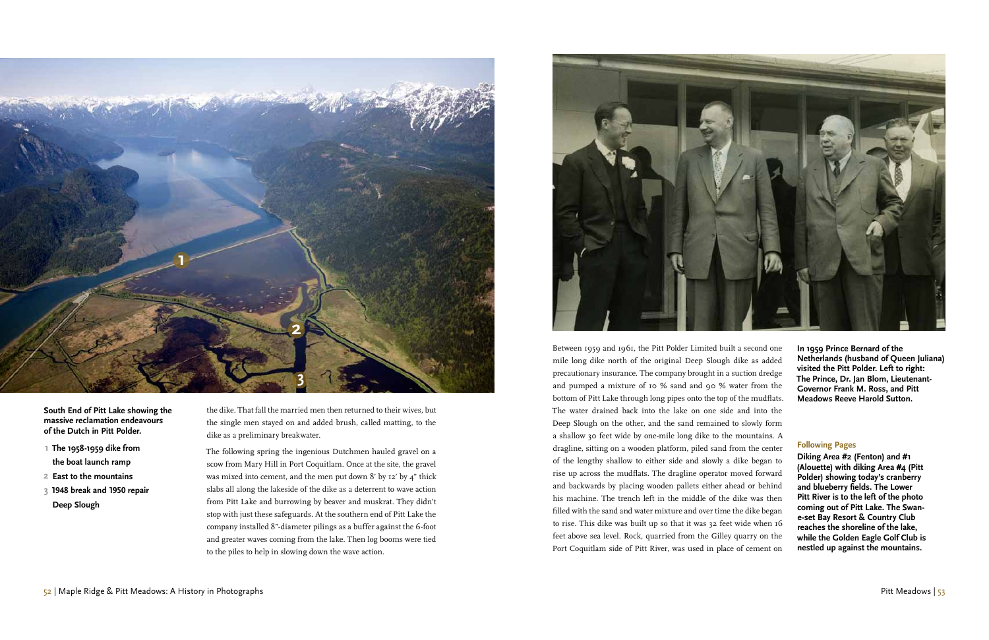Between 1959 and 1961, the Pitt Polder Limited built a second one mile long dike north of the original Deep Slough dike as added precautionary insurance. The company brought in a suction dredge and pumped a mixture of 10 % sand and 90 % water from the bottom of Pitt Lake through long pipes onto the top of the mudflats. The water drained back into the lake on one side and into the Deep Slough on the other, and the sand remained to slowly form a shallow 30 feet wide by one-mile long dike to the mountains. A dragline, sitting on a wooden platform, piled sand from the center of the lengthy shallow to either side and slowly a dike began to rise up across the mudflats. The dragline operator moved forward and backwards by placing wooden pallets either ahead or behind his machine. The trench left in the middle of the dike was then filled with the sand and water mixture and over time the dike began to rise. This dike was built up so that it was 32 feet wide when 16 feet above sea level. Rock, quarried from the Gilley quarry on the Port Coquitlam side of Pitt River, was used in place of cement on

**In 1959 Prince Bernard of the Netherlands (husband of Queen Juliana) visited the Pitt Polder. Left to right: The Prince, Dr. Jan Blom, Lieutenant-Governor Frank M. Ross, and Pitt Meadows Reeve Harold Sutton.**

#### **Following Pages**

**Diking Area #2 (Fenton) and #1 (Alouette) with diking Area #4 (Pitt Polder) showing today's cranberry and blueberry fields. The Lower Pitt River is to the left of the photo coming out of Pitt Lake. The Swane-set Bay Resort & Country Club reaches the shoreline of the lake, while the Golden Eagle Golf Club is nestled up against the mountains.**

the dike. That fall the married men then returned to their wives, but the single men stayed on and added brush, called matting, to the dike as a preliminary breakwater.

The following spring the ingenious Dutchmen hauled gravel on a scow from Mary Hill in Port Coquitlam. Once at the site, the gravel was mixed into cement, and the men put down 8' by 12' by 4" thick slabs all along the lakeside of the dike as a deterrent to wave action from Pitt Lake and burrowing by beaver and muskrat. They didn't stop with just these safeguards. At the southern end of Pitt Lake the company installed 8"-diameter pilings as a buffer against the 6-foot and greater waves coming from the lake. Then log booms were tied to the piles to help in slowing down the wave action.





**South End of Pitt Lake showing the massive reclamation endeavours of the Dutch in Pitt Polder.** 

- **The 1958-1959 dike from 1 the boat launch ramp**
- **East to the mountains 2**
- **1948 break and 1950 repair 3Deep Slough**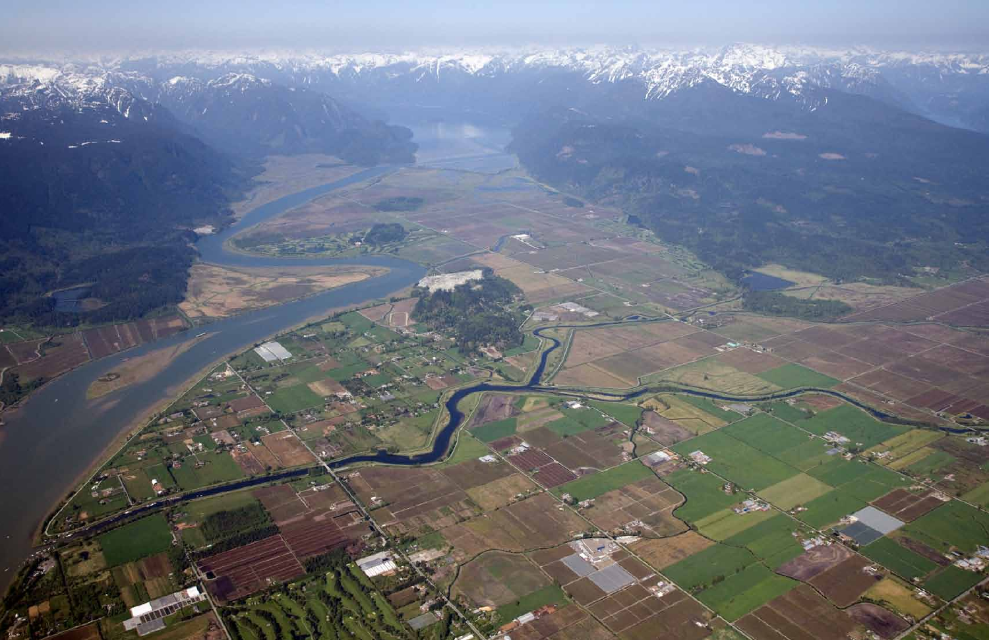